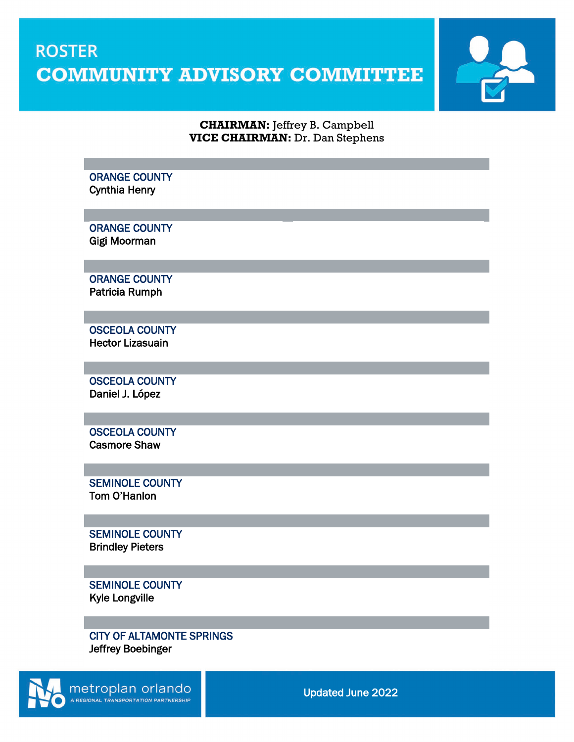## **ROSTER COMMUNITY ADVISORY COMMITTEE**



## **CHAIRMAN:** Jeffrey B. Campbell **VICE CHAIRMAN:** Dr. Dan Stephens

## ORANGE COUNTY Cynthia Henry

ORANGE COUNTY Gigi Moorman

ORANGE COUNTY Patricia Rumph

 $\overline{a}$ 

 $\overline{a}$ 

 $\overline{a}$ 

 $\overline{a}$ 

 $\overline{a}$ 

 $\overline{a}$ 

 OSCEOLA COUNTY Hector Lizasuain

 OSCEOLA COUNTY Daniel J. López

 OSCEOLA COUNTY Casmore Shaw

 SEMINOLE COUNTY Tom O'Hanlon

SEMINOLE COUNTY Brindley Pieters

SEMINOLE COUNTY Kyle Longville

CITY OF ALTAMONTE SPRINGS Jeffrey Boebinger

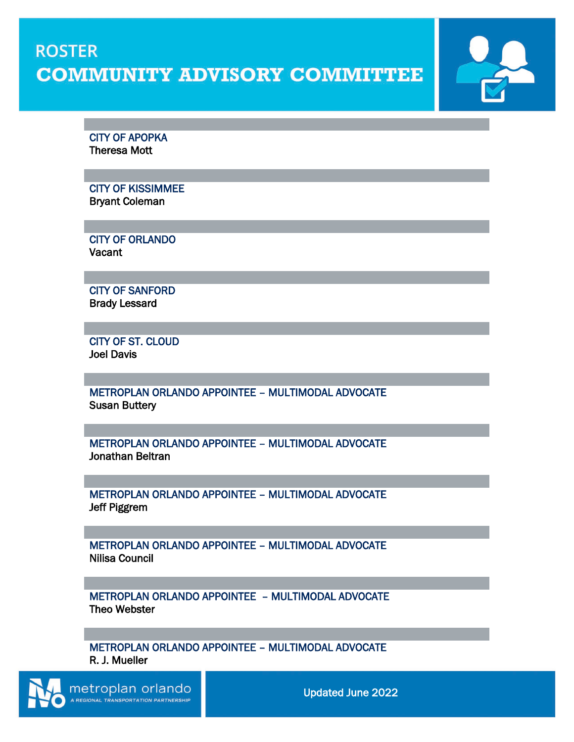## **ROSTER COMMUNITY ADVISORY COMMITTEE**

CITY OF APOPKA Theresa Mott

 $\overline{a}$ 

 $\overline{a}$ 

 $\overline{a}$ 

 $\overline{a}$ 

 $\overline{a}$ 

 $\overline{a}$ 

 $\overline{a}$ 

 $\overline{a}$ 

 $\overline{a}$ 

 $\overline{a}$ 

 CITY OF KISSIMMEE Bryant Coleman

 CITY OF ORLANDO Vacant

CITY OF SANFORD Brady Lessard

CITY OF ST. CLOUD Joel Davis

METROPLAN ORLANDO APPOINTEE – MULTIMODAL ADVOCATE Susan Buttery

METROPLAN ORLANDO APPOINTEE – MULTIMODAL ADVOCATE Jonathan Beltran

METROPLAN ORLANDO APPOINTEE – MULTIMODAL ADVOCATE Jeff Piggrem

METROPLAN ORLANDO APPOINTEE – MULTIMODAL ADVOCATE Nilisa Council

METROPLAN ORLANDO APPOINTEE – MULTIMODAL ADVOCATE Theo Webster

METROPLAN ORLANDO APPOINTEE – MULTIMODAL ADVOCATE R. J. Mueller

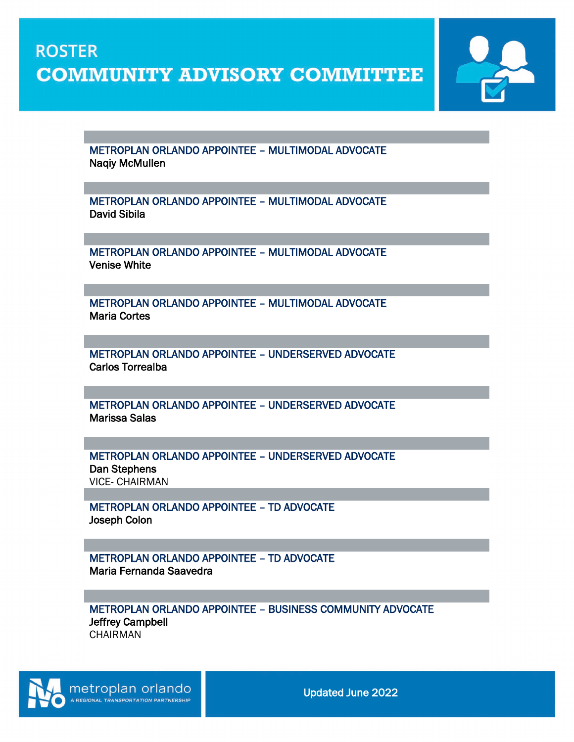**COMMUNITY ADVISORY COMMITTEE** 

 $\overline{a}$ 

**ROSTER** 

 $\overline{a}$ 

 $\overline{a}$ 

 $\overline{a}$ 

 $\overline{a}$ 

 $\overline{a}$ 

 $\overline{a}$ 

 $\overline{a}$ 

 $\overline{a}$ 



 METROPLAN ORLANDO APPOINTEE – MULTIMODAL ADVOCATE Naqiy McMullen

METROPLAN ORLANDO APPOINTEE – MULTIMODAL ADVOCATE David Sibila

METROPLAN ORLANDO APPOINTEE – MULTIMODAL ADVOCATE Venise White

METROPLAN ORLANDO APPOINTEE – MULTIMODAL ADVOCATE Maria Cortes

METROPLAN ORLANDO APPOINTEE – UNDERSERVED ADVOCATE Carlos Torrealba

METROPLAN ORLANDO APPOINTEE – UNDERSERVED ADVOCATE Marissa Salas

METROPLAN ORLANDO APPOINTEE – UNDERSERVED ADVOCATE Dan Stephens VICE- CHAIRMAN

METROPLAN ORLANDO APPOINTEE – TD ADVOCATE Joseph Colon

METROPLAN ORLANDO APPOINTEE – TD ADVOCATE Maria Fernanda Saavedra

METROPLAN ORLANDO APPOINTEE – BUSINESS COMMUNITY ADVOCATE Jeffrey Campbell CHAIRMAN